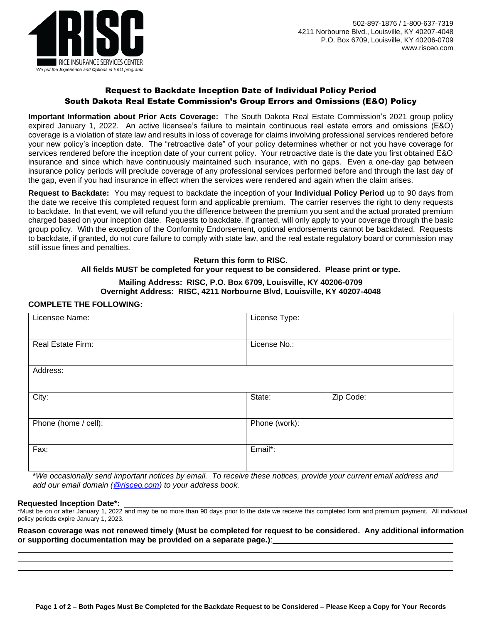

### Request to Backdate Inception Date of Individual Policy Period South Dakota Real Estate Commission's Group Errors and Omissions (E&O) Policy

**Important Information about Prior Acts Coverage:** The South Dakota Real Estate Commission's 2021 group policy expired January 1, 2022. An active licensee's failure to maintain continuous real estate errors and omissions (E&O) coverage is a violation of state law and results in loss of coverage for claims involving professional services rendered before your new policy's inception date. The "retroactive date" of your policy determines whether or not you have coverage for services rendered before the inception date of your current policy. Your retroactive date is the date you first obtained E&O insurance and since which have continuously maintained such insurance, with no gaps. Even a one-day gap between insurance policy periods will preclude coverage of any professional services performed before and through the last day of the gap, even if you had insurance in effect when the services were rendered and again when the claim arises.

**Request to Backdate:** You may request to backdate the inception of your **Individual Policy Period** up to 90 days from the date we receive this completed request form and applicable premium. The carrier reserves the right to deny requests to backdate. In that event, we will refund you the difference between the premium you sent and the actual prorated premium charged based on your inception date. Requests to backdate, if granted, will only apply to your coverage through the basic group policy. With the exception of the Conformity Endorsement, optional endorsements cannot be backdated. Requests to backdate, if granted, do not cure failure to comply with state law, and the real estate regulatory board or commission may still issue fines and penalties.

# **Return this form to RISC. All fields MUST be completed for your request to be considered. Please print or type.**

#### **Mailing Address: RISC, P.O. Box 6709, Louisville, KY 40206-0709 Overnight Address: RISC, 4211 Norbourne Blvd, Louisville, KY 40207-4048**

## **COMPLETE THE FOLLOWING:**

| Licensee Name:       | License Type: |           |  |
|----------------------|---------------|-----------|--|
| Real Estate Firm:    | License No.:  |           |  |
| Address:             |               |           |  |
| City:                | State:        | Zip Code: |  |
| Phone (home / cell): | Phone (work): |           |  |
| Fax:                 | Email*:       |           |  |

\**We occasionally send important notices by email. To receive these notices, provide your current email address and add our email domain [\(@risceo.com\)](mailto:policyadministrator@risceo.com) to your address book.*

#### **Requested Inception Date\*:**

\*Must be on or after January 1, 2022 and may be no more than 90 days prior to the date we receive this completed form and premium payment. All individual policy periods expire January 1, 2023.

**Reason coverage was not renewed timely (Must be completed for request to be considered. Any additional information or supporting documentation may be provided on a separate page.)**: